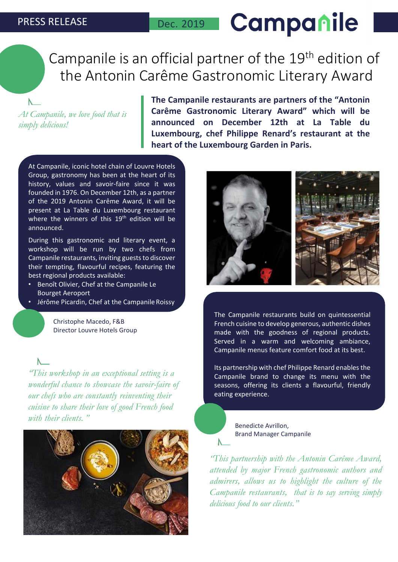$\mathbb{N}$ 

# Campanile

# Campanile is an official partner of the 19<sup>th</sup> edition of the Antonin Carême Gastronomic Literary Award

*At Campanile, we love food that is simply delicious!*

**The Campanile restaurants are partners of the "Antonin Carême Gastronomic Literary Award" which will be announced on December 12th at La Table du Luxembourg, chef Philippe Renard's restaurant at the heart of the Luxembourg Garden in Paris.**

At Campanile, iconic hotel chain of Louvre Hotels Group, gastronomy has been at the heart of its history, values and savoir-faire since it was founded in 1976. On December 12th, as a partner of the 2019 Antonin Carême Award, it will be present at La Table du Luxembourg restaurant where the winners of this 19<sup>th</sup> edition will be announced.

During this gastronomic and literary event, a workshop will be run by two chefs from Campanile restaurants, inviting guests to discover their tempting, flavourful recipes, featuring the best regional products available:

- Benoît Olivier, Chef at the Campanile Le Bourget Aeroport
- Jérôme Picardin, Chef at the Campanile Roissy

Christophe Macedo, F&B Director Louvre Hotels Group

*"This workshop in an exceptional setting is a wonderful chance to showcase the savoir-faire of our chefs who are constantly reinventing their cuisine to share their love of good French food with their clients. "*





The Campanile restaurants build on quintessential French cuisine to develop generous, authentic dishes made with the goodness of regional products. Served in a warm and welcoming ambiance, Campanile menus feature comfort food at its best.

Its partnership with chef Philippe Renard enables the Campanile brand to change its menu with the seasons, offering its clients a flavourful, friendly eating experience.

> Benedicte Avrillon, Brand Manager Campanile

 $\mathsf{N}$ 

*"This partnership with the Antonin Carême Award, attended by major French gastronomic authors and admirers, allows us to highlight the culture of the Campanile restaurants, that is to say serving simply delicious food to our clients."*